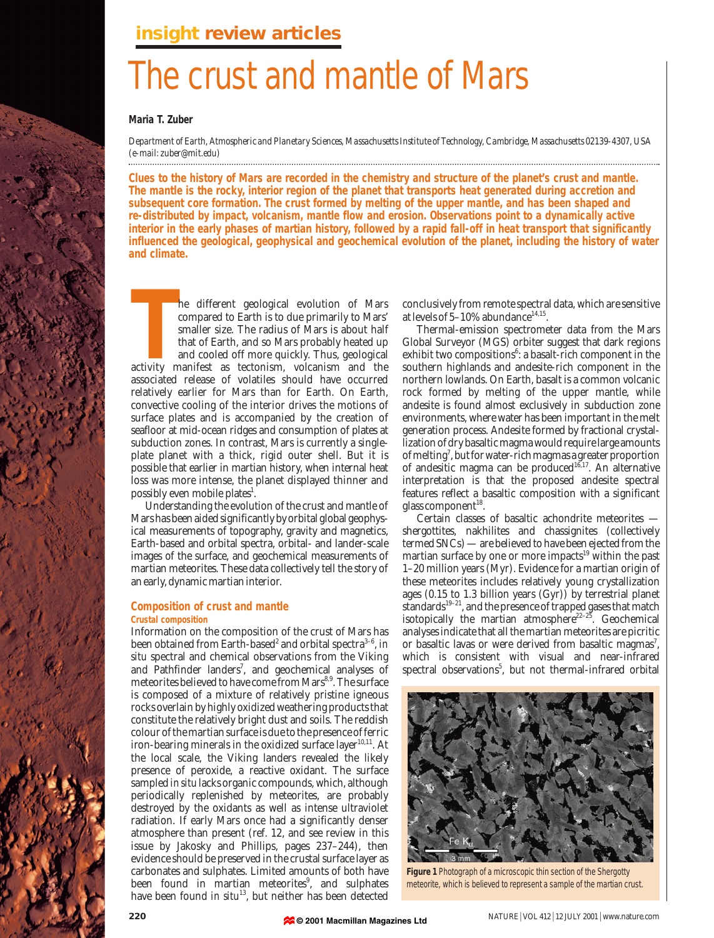# The crust and mantle of Mars

#### **Maria T. Zuber**

*Department of Earth, Atmospheric and Planetary Sciences, Massachusetts Institute of Technology, Cambridge, Massachusetts 02139-4307, USA (e-mail: zuber@mit.edu)*

**Clues to the history of Mars are recorded in the chemistry and structure of the planet's crust and mantle. The mantle is the rocky, interior region of the planet that transports heat generated during accretion and subsequent core formation. The crust formed by melting of the upper mantle, and has been shaped and re-distributed by impact, volcanism, mantle flow and erosion. Observations point to a dynamically active interior in the early phases of martian history, followed by a rapid fall-off in heat transport that significantly influenced the geological, geophysical and geochemical evolution of the planet, including the history of water and climate.**

**THE MANUS CONSTREVENT AND THE MANUS COMPARED THE SET AND STATE STATE AND STATE AND THE STATE AND THE STATE AND THE STATE AND THE STATE AND THE STATE ASSES AND THE STATE ASSES AND THE STATE ASSES AND THE STATE ASSES AND TH** he different geological evolution of Mars compared to Earth is to due primarily to Mars' smaller size. The radius of Mars is about half that of Earth, and so Mars probably heated up and cooled off more quickly. Thus, geological associated release of volatiles should have occurred relatively earlier for Mars than for Earth. On Earth, convective cooling of the interior drives the motions of surface plates and is accompanied by the creation of seafloor at mid-ocean ridges and consumption of plates at subduction zones. In contrast, Mars is currently a singleplate planet with a thick, rigid outer shell. But it is possible that earlier in martian history, when internal heat loss was more intense, the planet displayed thinner and possibly even mobile plates<sup>1</sup>.

Understanding the evolution of the crust and mantle of Mars has been aided significantly by orbital global geophysical measurements of topography, gravity and magnetics, Earth-based and orbital spectra, orbital- and lander-scale images of the surface, and geochemical measurements of martian meteorites. These data collectively tell the story of an early, dynamic martian interior.

#### **Composition of crust and mantle Crustal composition**

Information on the composition of the crust of Mars has been obtained from Earth-based<sup>2</sup> and orbital spectra<sup>3-6</sup>, *in situ* spectral and chemical observations from the Viking and Pathfinder landers<sup>7</sup>, and geochemical analyses of meteorites believed to have come from Mars<sup>8,9</sup>. The surface is composed of a mixture of relatively pristine igneous rocks overlain by highly oxidized weathering products that constitute the relatively bright dust and soils. The reddish colour of the martian surface is due to the presence of ferric iron-bearing minerals in the oxidized surface layer<sup>10,11</sup>. At the local scale, the Viking landers revealed the likely presence of peroxide, a reactive oxidant. The surface sampled *in situ* lacks organic compounds, which, although periodically replenished by meteorites, are probably destroyed by the oxidants as well as intense ultraviolet radiation. If early Mars once had a significantly denser atmosphere than present (ref. 12, and see review in this issue by Jakosky and Phillips, pages 237–244), then evidence should be preserved in the crustal surface layer as carbonates and sulphates. Limited amounts of both have been found in martian meteorites<sup>9</sup>, and sulphates have been found *in situ*<sup>13</sup>, but neither has been detected

conclusively from remote spectral data, which are sensitive at levels of  $5-10\%$  abundance<sup>14,15</sup>.

Thermal-emission spectrometer data from the Mars Global Surveyor (MGS) orbiter suggest that dark regions exhibit two compositions<sup>6</sup>: a basalt-rich component in the southern highlands and andesite-rich component in the northern lowlands. On Earth, basalt is a common volcanic rock formed by melting of the upper mantle, while andesite is found almost exclusively in subduction zone environments, where water has been important in the melt generation process. Andesite formed by fractional crystallization of dry basaltic magma would require large amounts of melting<sup>7</sup>, but for water-rich magmas a greater proportion of andesitic magma can be produced<sup>16,17</sup>. An alternative interpretation is that the proposed andesite spectral features reflect a basaltic composition with a significant glass component<sup>18</sup>.

Certain classes of basaltic achondrite meteorites shergottites, nakhilites and chassignites (collectively termed SNCs) — are believed to have been ejected from the martian surface by one or more impacts $19$  within the past 1–20 million years (Myr). Evidence for a martian origin of these meteorites includes relatively young crystallization ages (0.15 to 1.3 billion years (Gyr)) by terrestrial planet standards<sup>19-21</sup>, and the presence of trapped gases that match isotopically the martian atmosphere<sup>22-25</sup>. Geochemical analyses indicate that all the martian meteorites are picritic or basaltic lavas or were derived from basaltic magmas<sup>7</sup>, which is consistent with visual and near-infrared spectral observations<sup>5</sup>, but not thermal-infrared orbital



**Figure 1** Photograph of a microscopic thin section of the Shergotty meteorite, which is believed to represent a sample of the martian crust.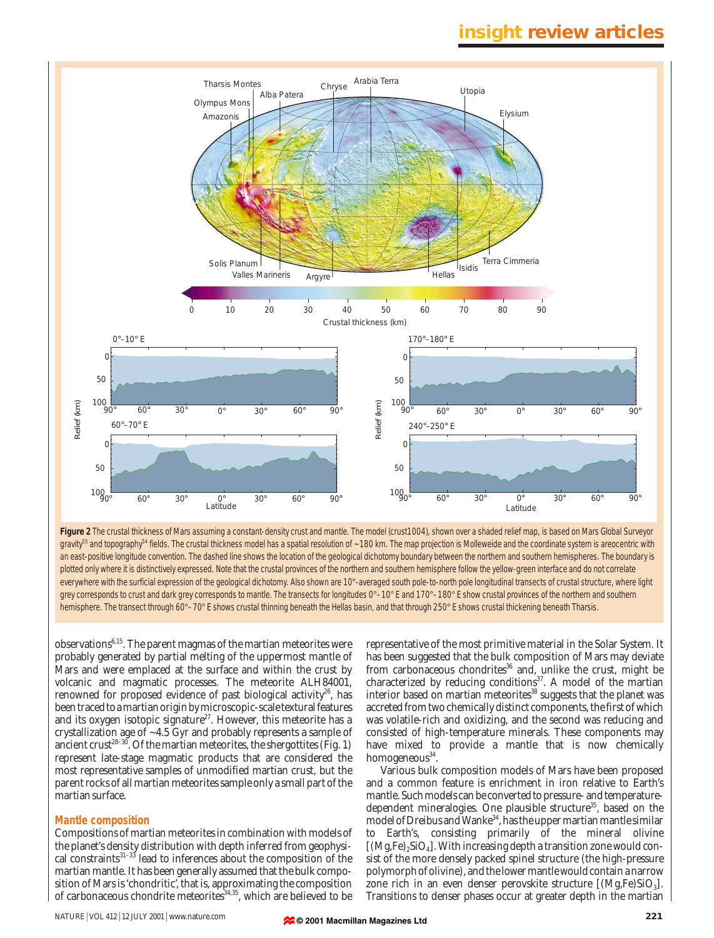

Figure 2 The crustal thickness of Mars assuming a constant-density crust and mantle. The model (crust1004), shown over a shaded relief map, is based on Mars Global Surveyor gravity<sup>55</sup> and topography<sup>54</sup> fields. The crustal thickness model has a spatial resolution of ~180 km. The map projection is Molleweide and the coordinate system is areocentric with an east-positive longitude convention. The dashed line shows the location of the geological dichotomy boundary between the northern and southern hemispheres. The boundary is plotted only where it is distinctively expressed. Note that the crustal provinces of the northern and southern hemisphere follow the yellow-green interface and do not correlate everywhere with the surficial expression of the geological dichotomy. Also shown are 10°-averaged south pole-to-north pole longitudinal transects of crustal structure, where light grey corresponds to crust and dark grey corresponds to mantle. The transects for longitudes 0°-10° E and 170°-180° E show crustal provinces of the northern and southern hemisphere. The transect through 60°–70° E shows crustal thinning beneath the Hellas basin, and that through 250° E shows crustal thickening beneath Tharsis.

observations $6,15$ . The parent magmas of the martian meteorites were probably generated by partial melting of the uppermost mantle of Mars and were emplaced at the surface and within the crust by volcanic and magmatic processes. The meteorite ALH84001, renowned for proposed evidence of past biological activity $26$ , has been traced to a martian origin by microscopic-scale textural features and its oxygen isotopic signature<sup>27</sup>. However, this meteorite has a crystallization age of ~4.5 Gyr and probably represents a sample of ancient crust<sup>28–30</sup>. Of the martian meteorites, the shergottites (Fig. 1) represent late-stage magmatic products that are considered the most representative samples of unmodified martian crust, but the parent rocks of all martian meteorites sample only a small part of the martian surface.

#### **Mantle composition**

Compositions of martian meteorites in combination with models of the planet's density distribution with depth inferred from geophysical constraints<sup>31-33</sup> lead to inferences about the composition of the martian mantle. It has been generally assumed that the bulk composition of Mars is 'chondritic', that is, approximating the composition of carbonaceous chondrite meteorites<sup>34,35</sup>, which are believed to be

NATURE <sup>|</sup> VOL 412 <sup>|</sup> 12 JULY 2001 <sup>|</sup> www.nature.com **221**

representative of the most primitive material in the Solar System. It has been suggested that the bulk composition of Mars may deviate from carbonaceous chondrites<sup>36</sup> and, unlike the crust, might be characterized by reducing conditions<sup>37</sup>. A model of the martian interior based on martian meteorites<sup>38</sup> suggests that the planet was accreted from two chemically distinct components, the first of which was volatile-rich and oxidizing, and the second was reducing and consisted of high-temperature minerals. These components may have mixed to provide a mantle that is now chemically homogeneous $34$ .

Various bulk composition models of Mars have been proposed and a common feature is enrichment in iron relative to Earth's mantle. Such models can be converted to pressure- and temperaturedependent mineralogies. One plausible structure<sup>35</sup>, based on the model of Dreibus and Wanke<sup>34</sup>, has the upper martian mantle similar to Earth's, consisting primarily of the mineral olivine  $[(Mg,Fe),SiO<sub>4</sub>]$ . With increasing depth a transition zone would consist of the more densely packed spinel structure (the high-pressure polymorph of olivine), and the lower mantle would contain a narrow zone rich in an even denser perovskite structure  $[(Mg,Fe)SiO<sub>3</sub>]$ . Transitions to denser phases occur at greater depth in the martian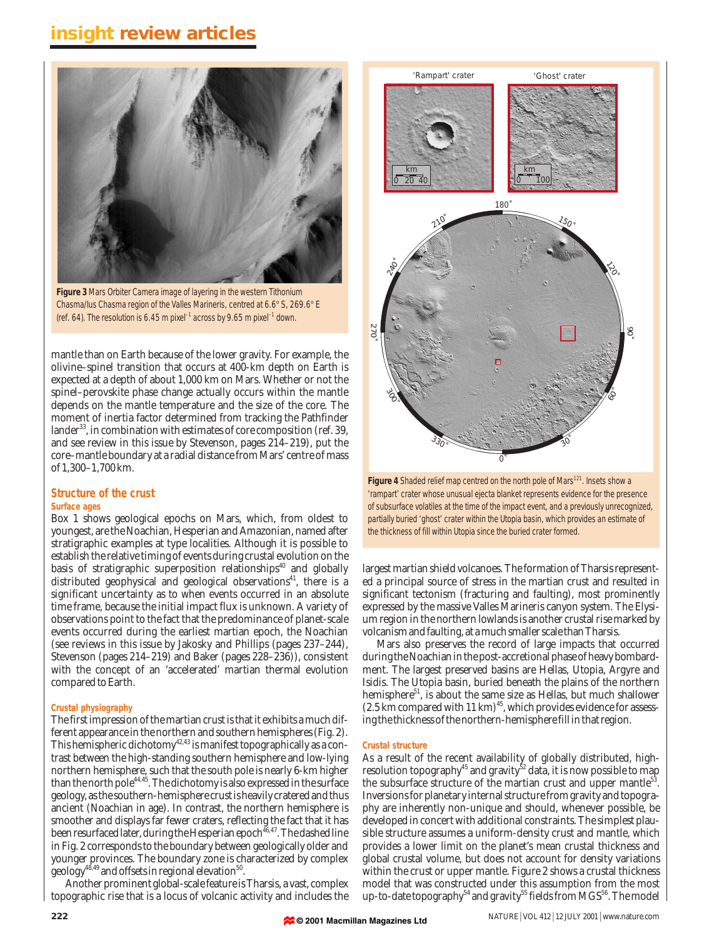

**Figure 3** Mars Orbiter Camera image of layering in the western Tithonium Chasma/Ius Chasma region of the Valles Marineris, centred at 6.6° S, 269.6° E (ref. 64). The resolution is 6.45 m pixel<sup>-1</sup> across by 9.65 m pixel<sup>-1</sup> down.

mantle than on Earth because of the lower gravity. For example, the olivine–spinel transition that occurs at 400-km depth on Earth is expected at a depth of about 1,000 km on Mars. Whether or not the spinel–perovskite phase change actually occurs within the mantle depends on the mantle temperature and the size of the core. The moment of inertia factor determined from tracking the Pathfinder lander<sup>33</sup>, in combination with estimates of core composition (ref. 39, and see review in this issue by Stevenson, pages 214–219), put the core–mantle boundary at a radial distance from Mars' centre of mass of 1,300–1,700 km.

#### **Structure of the crust Surface ages**

Box 1 shows geological epochs on Mars, which, from oldest to youngest, are the Noachian, Hesperian and Amazonian, named after stratigraphic examples at type localities. Although it is possible to establish the relative timing of events during crustal evolution on the basis of stratigraphic superposition relationships $40$  and globally distributed geophysical and geological observations<sup>41</sup>, there is a significant uncertainty as to when events occurred in an absolute time frame, because the initial impact flux is unknown. A variety of observations point to the fact that the predominance of planet-scale events occurred during the earliest martian epoch, the Noachian (see reviews in this issue by Jakosky and Phillips (pages 237–244), Stevenson (pages 214–219) and Baker (pages 228–236)), consistent with the concept of an 'accelerated' martian thermal evolution compared to Earth.

#### **Crustal physiography**

The first impression of the martian crust is that it exhibits a much different appearance in the northern and southern hemispheres (Fig. 2). This hemispheric dichotomy<sup>42,43</sup> is manifest topographically as a contrast between the high-standing southern hemisphere and low-lying northern hemisphere, such that the south pole is nearly 6-km higher than the north pole<sup>44,45</sup>. The dichotomy is also expressed in the surface geology, as the southern-hemisphere crust is heavily cratered and thus ancient (Noachian in age). In contrast, the northern hemisphere is smoother and displays far fewer craters, reflecting the fact that it has been resurfaced later, during the Hesperian epoch  $^{\rm 46,47}.$  The dashed line in Fig. 2 corresponds to the boundary between geologically older and younger provinces. The boundary zone is characterized by complex geology<sup>48,49</sup> and offsets in regional elevation<sup>50</sup>.

Another prominent global-scale feature is Tharsis, a vast, complex topographic rise that is a locus of volcanic activity and includes the



Figure 4 Shaded relief map centred on the north pole of Mars<sup>121</sup>. Insets show a 'rampart' crater whose unusual ejecta blanket represents evidence for the presence of subsurface volatiles at the time of the impact event, and a previously unrecognized, partially buried 'ghost' crater within the Utopia basin, which provides an estimate of the thickness of fill within Utopia since the buried crater formed.

largest martian shield volcanoes. The formation of Tharsis represented a principal source of stress in the martian crust and resulted in significant tectonism (fracturing and faulting), most prominently expressed by the massive Valles Marineris canyon system. The Elysium region in the northern lowlands is another crustal rise marked by volcanism and faulting, at a much smaller scale than Tharsis.

Mars also preserves the record of large impacts that occurred during the Noachian in the post-accretional phase of heavy bombardment. The largest preserved basins are Hellas, Utopia, Argyre and Isidis. The Utopia basin, buried beneath the plains of the northern hemisphere<sup>51</sup>, is about the same size as Hellas, but much shallower (2.5 km compared with 11 km)<sup>45</sup>, which provides evidence for assessing the thickness of the northern-hemisphere fill in that region.

#### **Crustal structure**

As a result of the recent availability of globally distributed, highresolution topography<sup>45</sup> and gravity<sup>52</sup> data, it is now possible to map the subsurface structure of the martian crust and upper mantle<sup>53</sup>. Inversions for planetary internal structure from gravity and topography are inherently non-unique and should, whenever possible, be developed in concert with additional constraints. The simplest plausible structure assumes a uniform-density crust and mantle, which provides a lower limit on the planet's mean crustal thickness and global crustal volume, but does not account for density variations within the crust or upper mantle. Figure 2 shows a crustal thickness model that was constructed under this assumption from the most up-to-date topography<sup>54</sup> and gravity<sup>55</sup> fields from MGS<sup>56</sup>. The model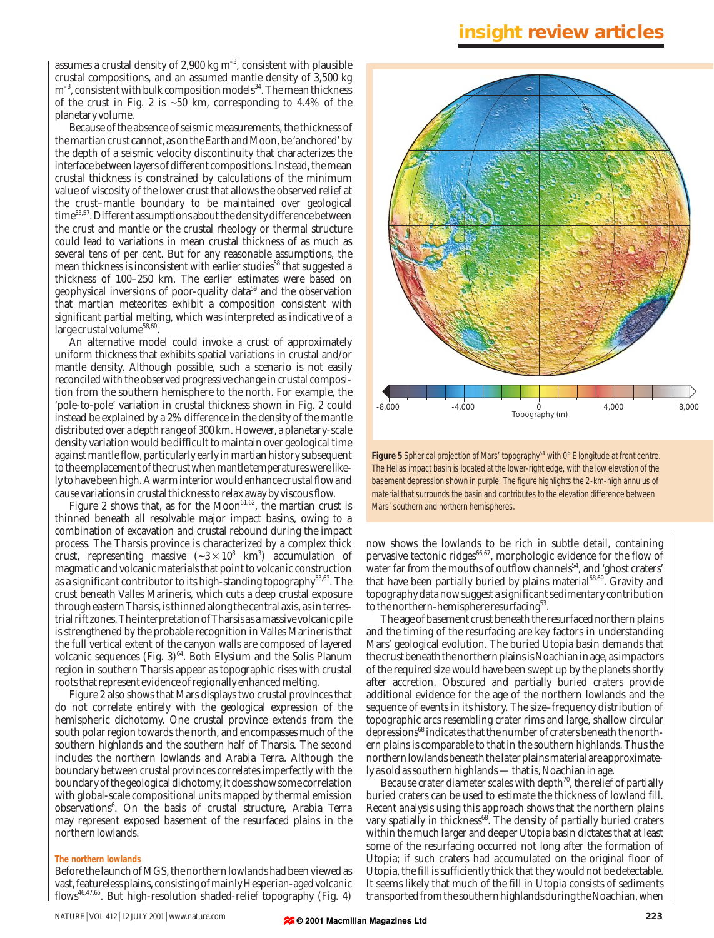assumes a crustal density of 2,900 kg  $m^{-3}$ , consistent with plausible crustal compositions, and an assumed mantle density of 3,500 kg  $m^{-3}$ , consistent with bulk composition models<sup>34</sup>. The mean thickness of the crust in Fig. 2 is  $\sim 50$  km, corresponding to 4.4% of the planetary volume.

Because of the absence of seismic measurements, the thickness of the martian crust cannot, as on the Earth and Moon, be 'anchored' by the depth of a seismic velocity discontinuity that characterizes the interface between layers of different compositions. Instead, the mean crustal thickness is constrained by calculations of the minimum value of viscosity of the lower crust that allows the observed relief at the crust–mantle boundary to be maintained over geological time53,57. Different assumptions about the density difference between the crust and mantle or the crustal rheology or thermal structure could lead to variations in mean crustal thickness of as much as several tens of per cent. But for any reasonable assumptions, the mean thickness is inconsistent with earlier studies<sup>58</sup> that suggested a thickness of 100–250 km. The earlier estimates were based on geophysical inversions of poor-quality data<sup>59</sup> and the observation that martian meteorites exhibit a composition consistent with significant partial melting, which was interpreted as indicative of a large crustal volume<sup>58,60</sup>.

An alternative model could invoke a crust of approximately uniform thickness that exhibits spatial variations in crustal and/or mantle density. Although possible, such a scenario is not easily reconciled with the observed progressive change in crustal composition from the southern hemisphere to the north. For example, the 'pole-to-pole' variation in crustal thickness shown in Fig. 2 could instead be explained by a 2% difference in the density of the mantle distributed over a depth range of 300 km. However, a planetary-scale density variation would be difficult to maintain over geological time against mantle flow, particularly early in martian history subsequent to the emplacement of the crust when mantle temperatures were likely to have been high. A warm interior would enhance crustal flow and cause variations in crustal thickness to relax away by viscous flow.

Figure 2 shows that, as for the  $Moon^{61,62}$ , the martian crust is thinned beneath all resolvable major impact basins, owing to a combination of excavation and crustal rebound during the impact process. The Tharsis province is characterized by a complex thick crust, representing massive  $(-3 \times 10^8 \text{ km}^3)$  accumulation of magmatic and volcanic materials that point to volcanic construction as a significant contributor to its high-standing topography<sup>53,63</sup>. The crust beneath Valles Marineris, which cuts a deep crustal exposure through eastern Tharsis, is thinned along the central axis, as in terrestrial rift zones. The interpretation of Tharsis as a massive volcanic pile is strengthened by the probable recognition in Valles Marineris that the full vertical extent of the canyon walls are composed of layered volcanic sequences (Fig.  $3)^{64}$ . Both Elysium and the Solis Planum region in southern Tharsis appear as topographic rises with crustal roots that represent evidence of regionally enhanced melting.

Figure 2 also shows that Mars displays two crustal provinces that do not correlate entirely with the geological expression of the hemispheric dichotomy. One crustal province extends from the south polar region towards the north, and encompasses much of the southern highlands and the southern half of Tharsis. The second includes the northern lowlands and Arabia Terra. Although the boundary between crustal provinces correlates imperfectly with the boundary of the geological dichotomy, it does show some correlation with global-scale compositional units mapped by thermal emission observations<sup>6</sup>. On the basis of crustal structure, Arabia Terra may represent exposed basement of the resurfaced plains in the northern lowlands.

#### **The northern lowlands**

Before the launch of MGS, the northern lowlands had been viewed as vast, featureless plains, consisting of mainly Hesperian-aged volcanic flows46,47,65. But high-resolution shaded-relief topography (Fig. 4)



**Figure 5** Spherical projection of Mars' topography<sup>54</sup> with 0° E longitude at front centre. The Hellas impact basin is located at the lower-right edge, with the low elevation of the basement depression shown in purple. The figure highlights the 2-km-high annulus of material that surrounds the basin and contributes to the elevation difference between Mars' southern and northern hemispheres.

now shows the lowlands to be rich in subtle detail, containing pervasive tectonic ridges<sup>66,67</sup>, morphologic evidence for the flow of water far from the mouths of outflow channels<sup>54</sup>, and 'ghost craters' that have been partially buried by plains material<sup>68,69</sup>. Gravity and topography data now suggest a significant sedimentary contribution to the northern-hemisphere resurfacing<sup>53</sup>.

The age of basement crust beneath the resurfaced northern plains and the timing of the resurfacing are key factors in understanding Mars' geological evolution. The buried Utopia basin demands that the crust beneath the northern plains is Noachian in age, as impactors of the required size would have been swept up by the planets shortly after accretion. Obscured and partially buried craters provide additional evidence for the age of the northern lowlands and the sequence of events in its history. The size–frequency distribution of topographic arcs resembling crater rims and large, shallow circular depressions<sup>68</sup> indicates that the number of craters beneath the northern plains is comparable to that in the southern highlands. Thus the northern lowlands beneath the later plains material are approximately as old as southern highlands — that is, Noachian in age.

Because crater diameter scales with depth<sup>70</sup>, the relief of partially buried craters can be used to estimate the thickness of lowland fill. Recent analysis using this approach shows that the northern plains vary spatially in thickness<sup>68</sup>. The density of partially buried craters within the much larger and deeper Utopia basin dictates that at least some of the resurfacing occurred not long after the formation of Utopia; if such craters had accumulated on the original floor of Utopia, the fill is sufficiently thick that they would not be detectable. It seems likely that much of the fill in Utopia consists of sediments transported from the southern highlands during the Noachian, when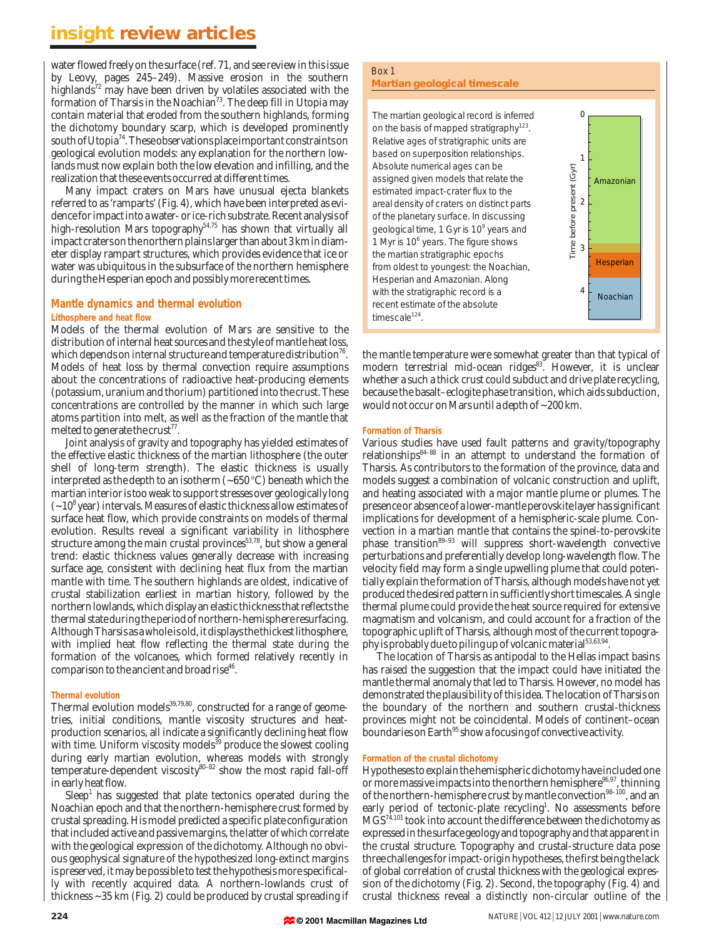water flowed freely on the surface (ref. 71, and see review in this issue by Leovy, pages 245–249). Massive erosion in the southern highlands<sup>72</sup> may have been driven by volatiles associated with the formation of Tharsis in the Noachian<sup>73</sup>. The deep fill in Utopia may contain material that eroded from the southern highlands, forming the dichotomy boundary scarp, which is developed prominently south of Utopia<sup>74</sup>. These observations place important constraints on geological evolution models: any explanation for the northern lowlands must now explain both the low elevation and infilling, and the realization that these events occurred at different times.

Many impact craters on Mars have unusual ejecta blankets referred to as 'ramparts' (Fig. 4), which have been interpreted as evidence for impact into a water- or ice-rich substrate. Recent analysis of high-resolution Mars topography<sup>54,75</sup> has shown that virtually all impact craters on the northern plains larger than about 3 km in diameter display rampart structures, which provides evidence that ice or water was ubiquitous in the subsurface of the northern hemisphere during the Hesperian epoch and possibly more recent times.

#### **Mantle dynamics and thermal evolution Lithosphere and heat flow**

Models of the thermal evolution of Mars are sensitive to the distribution of internal heat sources and the style of mantle heat loss, which depends on internal structure and temperature distribution<sup>76</sup>. Models of heat loss by thermal convection require assumptions about the concentrations of radioactive heat-producing elements (potassium, uranium and thorium) partitioned into the crust. These concentrations are controlled by the manner in which such large atoms partition into melt, as well as the fraction of the mantle that melted to generate the crust<sup>77</sup>.

Joint analysis of gravity and topography has yielded estimates of the effective elastic thickness of the martian lithosphere (the outer shell of long-term strength). The elastic thickness is usually interpreted as the depth to an isotherm  $(-650 °C)$  beneath which the martian interior is too weak to support stresses over geologically long  $(-10<sup>8</sup>$  year) intervals. Measures of elastic thickness allow estimates of surface heat flow, which provide constraints on models of thermal evolution. Results reveal a significant variability in lithosphere structure among the main crustal provinces<sup>53,78</sup>, but show a general trend: elastic thickness values generally decrease with increasing surface age, consistent with declining heat flux from the martian mantle with time. The southern highlands are oldest, indicative of crustal stabilization earliest in martian history, followed by the northern lowlands, which display an elastic thickness that reflects the thermal state during the period of northern-hemisphere resurfacing. Although Tharsis as a whole is old, it displays the thickest lithosphere, with implied heat flow reflecting the thermal state during the formation of the volcanoes, which formed relatively recently in comparison to the ancient and broad rise<sup>46</sup>.

#### **Thermal evolution**

Thermal evolution models $39,79,80$ , constructed for a range of geometries, initial conditions, mantle viscosity structures and heatproduction scenarios, all indicate a significantly declining heat flow with time. Uniform viscosity models<sup>39</sup> produce the slowest cooling during early martian evolution, whereas models with strongly temperature-dependent viscosity<sup>80–82</sup> show the most rapid fall-off in early heat flow.

 $Sleep<sup>1</sup>$  has suggested that plate tectonics operated during the Noachian epoch and that the northern-hemisphere crust formed by crustal spreading. His model predicted a specific plate configuration that included active and passive margins, the latter of which correlate with the geological expression of the dichotomy. Although no obvious geophysical signature of the hypothesized long-extinct margins is preserved, it may be possible to test the hypothesis more specifically with recently acquired data. A northern-lowlands crust of thickness ~35 km (Fig. 2) could be produced by crustal spreading if

### Box 1

#### **Martian geological timescale**

The martian geological record is inferred on the basis of mapped stratigraphy<sup>123</sup>. Relative ages of stratigraphic units are based on superposition relationships. Absolute numerical ages can be assigned given models that relate the estimated impact-crater flux to the areal density of craters on distinct parts of the planetary surface. In discussing geological time, 1 Gyr is 10<sup>9</sup> years and 1 Myr is 10<sup>6</sup> years. The figure shows the martian stratigraphic epochs from oldest to youngest: the Noachian, Hesperian and Amazonian. Along with the stratigraphic record is a recent estimate of the absolute timescale<sup>124</sup>.

the mantle temperature were somewhat greater than that typical of modern terrestrial mid-ocean ridges<sup>83</sup>. However, it is unclear whether a such a thick crust could subduct and drive plate recycling, because the basalt–eclogite phase transition, which aids subduction, would not occur on Mars until a depth of ~200 km.

 $\Omega$ 

1

Amazonian

**Hesperian** 

Noachian

2

Time before present (Gyr)

Time before present (Gyr)

3

4

#### **Formation of Tharsis**

Various studies have used fault patterns and gravity/topography relationships $84-88$  in an attempt to understand the formation of Tharsis. As contributors to the formation of the province, data and models suggest a combination of volcanic construction and uplift, and heating associated with a major mantle plume or plumes. The presence or absence of a lower-mantle perovskite layer has significant implications for development of a hemispheric-scale plume. Convection in a martian mantle that contains the spinel-to-perovskite phase transition<sup>89–93</sup> will suppress short-wavelength convective perturbations and preferentially develop long-wavelength flow. The velocity field may form a single upwelling plume that could potentially explain the formation of Tharsis, although models have not yet produced the desired pattern in sufficiently short timescales. A single thermal plume could provide the heat source required for extensive magmatism and volcanism, and could account for a fraction of the topographic uplift of Tharsis, although most of the current topography is probably due to piling up of volcanic material<sup>53,63,94</sup>.

The location of Tharsis as antipodal to the Hellas impact basins has raised the suggestion that the impact could have initiated the mantle thermal anomaly that led to Tharsis. However, no model has demonstrated the plausibility of this idea. The location of Tharsis on the boundary of the northern and southern crustal-thickness provinces might not be coincidental. Models of continent–ocean boundaries on Earth<sup>95</sup> show a focusing of convective activity.

#### **Formation of the crustal dichotomy**

Hypotheses to explain the hemispheric dichotomy have included one or more massive impacts into the northern hemisphere<sup>96,97</sup>, thinning of the northern-hemisphere crust by mantle convection<sup>98-100</sup>, and an early period of tectonic-plate recycling<sup>1</sup>. No assessments before MGS74,101 took into account the difference between the dichotomy as expressed in the surface geology and topography and that apparent in the crustal structure. Topography and crustal-structure data pose three challenges for impact-origin hypotheses, the first being the lack of global correlation of crustal thickness with the geological expression of the dichotomy (Fig. 2). Second, the topography (Fig. 4) and crustal thickness reveal a distinctly non-circular outline of the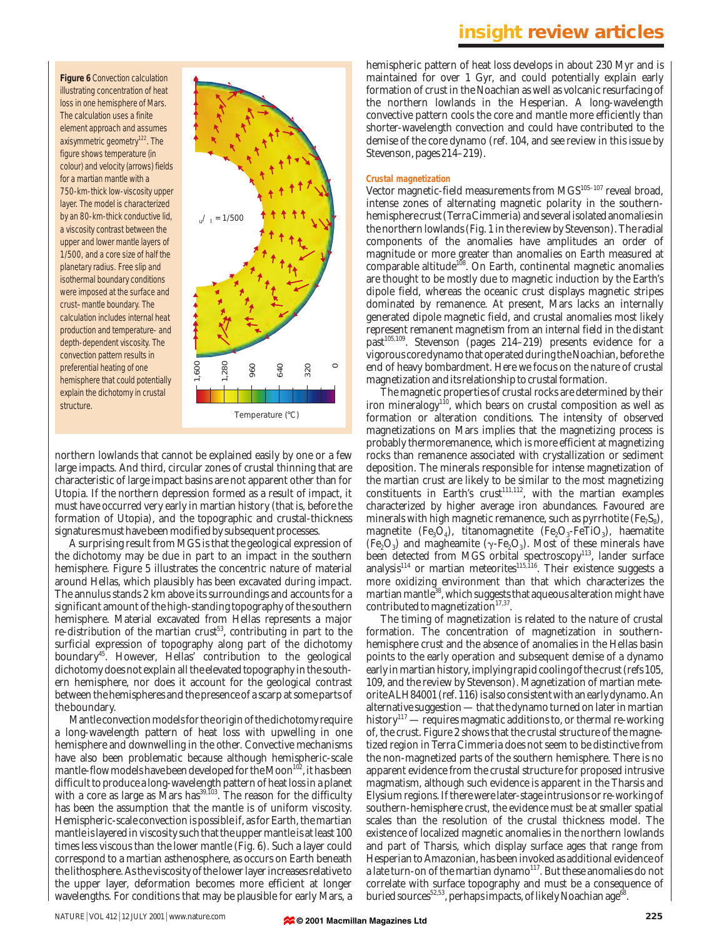**Figure 6** Convection calculation illustrating concentration of heat loss in one hemisphere of Mars. The calculation uses a finite element approach and assumes axisymmetric geometry<sup>122</sup>. The figure shows temperature (in colour) and velocity (arrows) fields for a martian mantle with a 750-km-thick low-viscosity upper layer. The model is characterized by an 80-km-thick conductive lid, a viscosity contrast between the upper and lower mantle layers of 1/500, and a core size of half the planetary radius. Free slip and isothermal boundary conditions were imposed at the surface and crust–mantle boundary. The calculation includes internal heat production and temperature- and depth-dependent viscosity. The convection pattern results in preferential heating of one hemisphere that could potentially explain the dichotomy in crustal structure.



northern lowlands that cannot be explained easily by one or a few large impacts. And third, circular zones of crustal thinning that are characteristic of large impact basins are not apparent other than for Utopia. If the northern depression formed as a result of impact, it must have occurred very early in martian history (that is, before the formation of Utopia), and the topographic and crustal-thickness signatures must have been modified by subsequent processes.

A surprising result from MGS is that the geological expression of the dichotomy may be due in part to an impact in the southern hemisphere. Figure 5 illustrates the concentric nature of material around Hellas, which plausibly has been excavated during impact. The annulus stands 2 km above its surroundings and accounts for a significant amount of the high-standing topography of the southern hemisphere. Material excavated from Hellas represents a major re-distribution of the martian crust<sup>53</sup>, contributing in part to the surficial expression of topography along part of the dichotomy boundary<sup>45</sup>. However, Hellas' contribution to the geological dichotomy does not explain all the elevated topography in the southern hemisphere, nor does it account for the geological contrast between the hemispheres and the presence of a scarp at some parts of the boundary.

Mantle convection models for the origin of the dichotomy require a long-wavelength pattern of heat loss with upwelling in one hemisphere and downwelling in the other. Convective mechanisms have also been problematic because although hemispheric-scale mantle-flow models have been developed for the Moon<sup>102</sup>, it has been difficult to produce a long-wavelength pattern of heat loss in a planet with a core as large as Mars has $^{39,103}$ . The reason for the difficulty has been the assumption that the mantle is of uniform viscosity. Hemispheric-scale convection is possible if, as for Earth, the martian mantle is layered in viscosity such that the upper mantle is at least 100 times less viscous than the lower mantle (Fig. 6). Such a layer could correspond to a martian asthenosphere, as occurs on Earth beneath the lithosphere. As the viscosity of the lower layer increases relative to the upper layer, deformation becomes more efficient at longer wavelengths. For conditions that may be plausible for early Mars, a

hemispheric pattern of heat loss develops in about 230 Myr and is maintained for over 1 Gyr, and could potentially explain early formation of crust in the Noachian as well as volcanic resurfacing of the northern lowlands in the Hesperian. A long-wavelength convective pattern cools the core and mantle more efficiently than shorter-wavelength convection and could have contributed to the demise of the core dynamo (ref. 104, and see review in this issue by Stevenson, pages 214–219).

#### **Crustal magnetization**

Vector magnetic-field measurements from MGS<sup>105-107</sup> reveal broad, intense zones of alternating magnetic polarity in the southernhemisphere crust (Terra Cimmeria) and several isolated anomalies in the northern lowlands (Fig. 1 in the review by Stevenson). The radial components of the anomalies have amplitudes an order of magnitude or more greater than anomalies on Earth measured at comparable altitude<sup>108</sup>. On Earth, continental magnetic anomalies are thought to be mostly due to magnetic induction by the Earth's dipole field, whereas the oceanic crust displays magnetic stripes dominated by remanence. At present, Mars lacks an internally generated dipole magnetic field, and crustal anomalies most likely represent remanent magnetism from an internal field in the distant past<sup>105,109</sup>. Stevenson (pages 214–219) presents evidence for a vigorous core dynamo that operated during the Noachian, before the end of heavy bombardment. Here we focus on the nature of crustal magnetization and its relationship to crustal formation.

The magnetic properties of crustal rocks are determined by their iron mineralogy<sup>1f0</sup>, which bears on crustal composition as well as formation or alteration conditions. The intensity of observed magnetizations on Mars implies that the magnetizing process is probably thermoremanence, which is more efficient at magnetizing rocks than remanence associated with crystallization or sediment deposition. The minerals responsible for intense magnetization of the martian crust are likely to be similar to the most magnetizing constituents in Earth's crust $111,112}$ , with the martian examples characterized by higher average iron abundances. Favoured are minerals with high magnetic remanence, such as pyrrhotite  $(F_{\rm e}S_{\rm s})$ , magnetite (Fe<sub>3</sub>O<sub>4</sub>), titanomagnetite (Fe<sub>2</sub>O<sub>3</sub>-FeTiO<sub>3</sub>), haematite (Fe<sub>2</sub>O<sub>3</sub>) and magheamite ( $\gamma$ -Fe<sub>2</sub>O<sub>3</sub>). Most of these minerals have been detected from MGS orbital spectroscopy<sup>113</sup>, lander surface analysis<sup>114</sup> or martian meteorites<sup>115,116</sup>. Their existence suggests a more oxidizing environment than that which characterizes the martian mantle<sup>38</sup>, which suggests that aqueous alteration might have contributed to magnetization $17,37$ .

The timing of magnetization is related to the nature of crustal formation. The concentration of magnetization in southernhemisphere crust and the absence of anomalies in the Hellas basin points to the early operation and subsequent demise of a dynamo early in martian history, implying rapid cooling of the crust (refs 105, 109, and the review by Stevenson). Magnetization of martian meteorite ALH84001 (ref. 116) is also consistent with an early dynamo. An alternative suggestion — that the dynamo turned on later in martian history<sup>117</sup> — requires magmatic additions to, or thermal re-working of, the crust. Figure 2 shows that the crustal structure of the magnetized region in Terra Cimmeria does not seem to be distinctive from the non-magnetized parts of the southern hemisphere. There is no apparent evidence from the crustal structure for proposed intrusive magmatism, although such evidence is apparent in the Tharsis and Elysium regions. If there were later-stage intrusions or re-working of southern-hemisphere crust, the evidence must be at smaller spatial scales than the resolution of the crustal thickness model. The existence of localized magnetic anomalies in the northern lowlands and part of Tharsis, which display surface ages that range from Hesperian to Amazonian, has been invoked as additional evidence of a late turn-on of the martian dynamo<sup>117</sup>. But these anomalies do not correlate with surface topography and must be a consequence of buried sources<sup>52,53</sup>, perhaps impacts, of likely Noachian age<sup>68</sup>.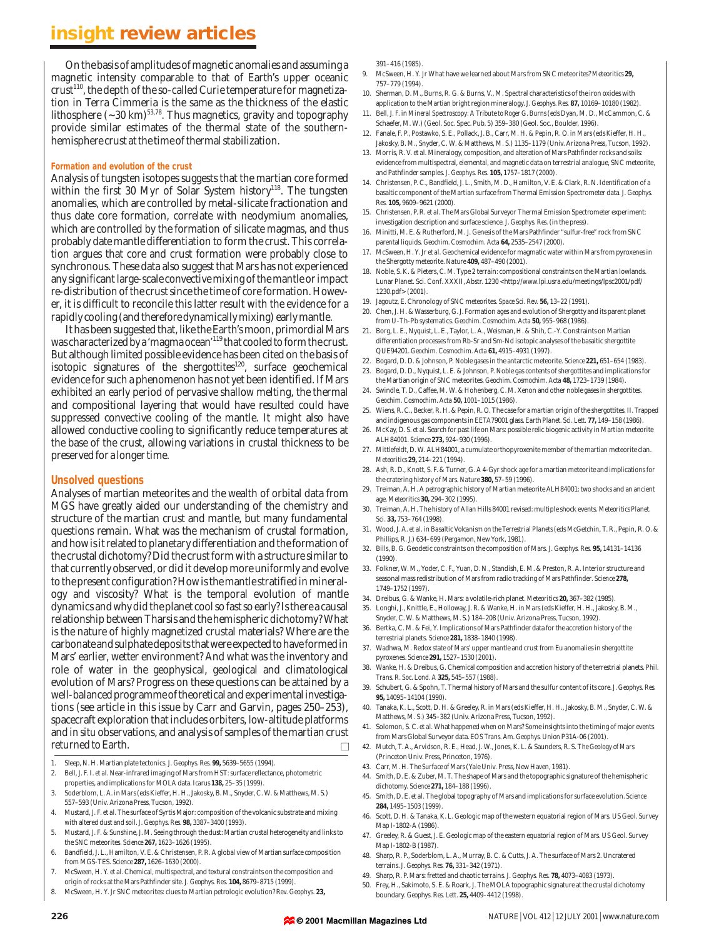On the basis of amplitudes of magnetic anomalies and assuming a magnetic intensity comparable to that of Earth's upper oceanic  $crust<sup>110</sup>$ , the depth of the so-called Curie temperature for magnetization in Terra Cimmeria is the same as the thickness of the elastic lithosphere  $({\sim}30$  km)<sup>53,78</sup>. Thus magnetics, gravity and topography provide similar estimates of the thermal state of the southernhemisphere crust at the time of thermal stabilization.

#### **Formation and evolution of the crust**

Analysis of tungsten isotopes suggests that the martian core formed within the first 30 Myr of Solar System history<sup>118</sup>. The tungsten anomalies, which are controlled by metal-silicate fractionation and thus date core formation, correlate with neodymium anomalies, which are controlled by the formation of silicate magmas, and thus probably date mantle differentiation to form the crust. This correlation argues that core and crust formation were probably close to synchronous. These data also suggest that Mars has not experienced any significant large-scale convective mixing of the mantle or impact re-distribution of the crust since the time of core formation. However, it is difficult to reconcile this latter result with the evidence for a rapidly cooling (and therefore dynamically mixing) early mantle.

It has been suggested that, like the Earth's moon, primordial Mars was characterized by a 'magma ocean'<sup>119</sup> that cooled to form the crust. But although limited possible evidence has been cited on the basis of isotopic signatures of the shergottites<sup>120</sup>, surface geochemical evidence for such a phenomenon has not yet been identified. If Mars exhibited an early period of pervasive shallow melting, the thermal and compositional layering that would have resulted could have suppressed convective cooling of the mantle. It might also have allowed conductive cooling to significantly reduce temperatures at the base of the crust, allowing variations in crustal thickness to be preserved for a longer time.

#### **Unsolved questions**

Analyses of martian meteorites and the wealth of orbital data from MGS have greatly aided our understanding of the chemistry and structure of the martian crust and mantle, but many fundamental questions remain. What was the mechanism of crustal formation, and how is it related to planetary differentiation and the formation of the crustal dichotomy? Did the crust form with a structure similar to that currently observed, or did it develop more uniformly and evolve to the present configuration? How is the mantle stratified in mineralogy and viscosity? What is the temporal evolution of mantle dynamics and why did the planet cool so fast so early? Is there a causal relationship between Tharsis and the hemispheric dichotomy? What is the nature of highly magnetized crustal materials? Where are the carbonate and sulphate deposits that were expected to have formed in Mars' earlier, wetter environment? And what was the inventory and role of water in the geophysical, geological and climatological evolution of Mars? Progress on these questions can be attained by a well-balanced programme of theoretical and experimental investigations (see article in this issue by Carr and Garvin, pages 250–253), spacecraft exploration that includes orbiters, low-altitude platforms and *in situ* observations, and analysis of samples of the martian crust returned to Earth. ■

1. Sleep, N. H. Martian plate tectonics. *J. Geophys. Res.* **99,** 5639–5655 (1994).

- 2. Bell, J. F. I. *et al.* Near-infrared imaging of Mars from HST: surface reflectance, photometric properties, and implications for MOLA data. *Icarus* **138,** 25–35 (1999).
- 3. Soderblom, L. A. in *Mars*(eds Kieffer, H. H., Jakosky, B. M., Snyder, C. W. & Matthews, M. S.) 557–593 (Univ. Arizona Press, Tucson, 1992).
- 4. Mustard, J. F. *et al.* The surface of Syrtis Major: composition of the volcanic substrate and mixing with altered dust and soil. *J. Geophys. Res.* **98,** 3387–3400 (1993).
- 5. Mustard, J. F. & Sunshine, J. M. Seeing through the dust: Martian crustal heterogeneity and links to the SNC meteorites. *Science* **267,** 1623–1626 (1995).
- 6. Bandfield, J. L., Hamilton, V. E. & Christensen, P. R. A global view of Martian surface composition from MGS-TES. *Science* **287,** 1626–1630 (2000).
- 7. McSween, H. Y. *et al.* Chemical, multispectral, and textural constraints on the composition and origin of rocks at the Mars Pathfinder site. *J. Geophys. Res.* **104,** 8679–8715 (1999).
- 8. McSween, H. Y. Jr SNC meteorites: clues to Martian petrologic evolution? *Rev. Geophys.* **23,**

391–416 (1985).

- 9. McSween, H. Y. Jr What have we learned about Mars from SNC meteorites? *Meteoritics* **29,** 757–779 (1994).
- 10. Sherman, D. M., Burns, R. G. & Burns, V., M. Spectral characteristics of the iron oxides with application to the Martian bright region mineralogy. *J. Geophys. Res.* **87,** 10169–10180 (1982).
- 11. Bell, J. F. in *Mineral Spectroscopy: A Tribute to Roger G. Burns*(eds Dyan, M. D., McCammon, C. & Schaefer, M. W.) (Geol. Soc. Spec. Pub. 5) 359–380 (Geol. Soc., Boulder, 1996).
- 12. Fanale, F. P., Postawko, S. E., Pollack, J. B., Carr, M. H. & Pepin, R. O. in *Mars*(eds Kieffer, H. H., Jakosky, B. M., Snyder, C. W. & Matthews, M. S.) 1135–1179 (Univ. Arizona Press, Tucson, 1992).
- 13. Morris, R. V. *et al.* Mineralogy, composition, and alteration of Mars Pathfinder rocks and soils: evidence from multispectral, elemental, and magnetic data on terrestrial analogue, SNC meteorite, and Pathfinder samples. *J. Geophys. Res.* **105,** 1757–1817 (2000).
- 14. Christensen, P. C., Bandfield, J. L., Smith, M. D., Hamilton, V. E. & Clark, R. N. Identification of a basaltic component of the Martian surface from Thermal Emission Spectrometer data. *J. Geophys. Res.* **105,** 9609–9621 (2000).
- 15. Christensen, P. R. *et al.* The Mars Global Surveyor Thermal Emission Spectrometer experiment: investigation description and surface science. *J. Geophys. Res.*(in the press).
- 16. Minitti, M. E. & Rutherford, M. J. Genesis of the Mars Pathfinder "sulfur-free" rock from SNC parental liquids. *Geochim. Cosmochim. Acta* **64,** 2535–2547 (2000).
- 17. McSween, H. Y. Jr *et al.* Geochemical evidence for magmatic water within Mars from pyroxenes in the Shergotty meteorite. *Nature* **409,** 487–490 (2001).
- 18. Noble, S. K. & Pieters, C. M. Type 2 terrain: compositional constraints on the Martian lowlands. Lunar Planet. Sci. Conf. XXXII, Abstr. 1230 <http://www.lpi.usra.edu/meetings/lpsc2001/pdf/ 1230.pdf> (2001).
- 19. Jagoutz, E. Chronology of SNC meteorites. *Space Sci. Rev.* **56,** 13–22 (1991).
- 20. Chen, J. H. & Wasserburg, G. J. Formation ages and evolution of Shergotty and its parent planet from U-Th-Pb systematics. *Geochim. Cosmochim. Acta* **50,** 955–968 (1986).
- 21. Borg, L. E., Nyquist, L. E., Taylor, L. A., Weisman, H. & Shih, C.-Y. Constraints on Martian differentiation processes from Rb-Sr and Sm-Nd isotopic analyses of the basaltic shergottite QUE94201. *Geochim. Cosmochim. Acta* **61,** 4915–4931 (1997).
- 22. Bogard, D. D. & Johnson, P. Noble gases in the antarctic meteorite. *Science* **221,** 651–654 (1983).
- 23. Bogard, D. D., Nyquist, L. E. & Johnson, P. Noble gas contents of shergottites and implications for
- the Martian origin of SNC meteorites. *Geochim. Cosmochim. Acta* **48,** 1723–1739 (1984). 24. Swindle, T. D., Caffee, M. W. & Hohenberg, C. M. Xenon and other noble gases in shergottites. *Geochim. Cosmochim. Acta* **50,** 1001–1015 (1986).
- 25. Wiens, R. C., Becker, R. H. & Pepin, R. O. The case for a martian origin of the shergottites. II. Trapped and indigenous gas components in EETA79001 glass. *Earth Planet. Sci. Lett.* **77,** 149–158 (1986).
- 26. McKay, D. S. *et al.* Search for past life on Mars: possible relic biogenic activity in Martian meteorite ALH84001. *Science* **273,** 924–930 (1996).
- 27. Mittlefeldt, D. W. ALH84001, a cumulate orthopyroxenite member of the martian meteorite clan. *Meteoritics* **29,** 214–221 (1994).
- 28. Ash, R. D., Knott, S. F. & Turner, G. A 4-Gyr shock age for a martian meteorite and implications for the cratering history of Mars. *Nature* **380,** 57–59 (1996).
- 29. Treiman, A. H. A petrographic history of Martian meteorite ALH84001: two shocks and an ancient age. *Meteoritics* **30,** 294–302 (1995).
- 30. Treiman, A. H. The history of Allan Hills 84001 revised: multiple shock events. *Meteoritics Planet. Sci.* **33,** 753–764 (1998).
- 31. Wood, J. A. *et al.* in *Basaltic Volcanism on the Terrestrial Planets*(eds McGetchin, T. R., Pepin, R. O. & Phillips, R. J.) 634–699 (Pergamon, New York, 1981).
- 32. Bills, B. G. Geodetic constraints on the composition of Mars. *J. Geophys. Res.* **95,** 14131–14136  $(1990)$
- 33. Folkner, W. M., Yoder, C. F., Yuan, D. N., Standish, E. M. & Preston, R. A. Interior structure and seasonal mass redistribution of Mars from radio tracking of Mars Pathfinder. *Science* **278,** 1749–1752 (1997).
- 34. Dreibus, G. & Wanke, H. Mars: a volatile-rich planet. *Meteoritics* **20,** 367–382 (1985).
- 35. Longhi, J., Knittle, E., Holloway, J. R. & Wanke, H. in *Mars*(eds Kieffer, H. H., Jakosky, B. M., Snyder, C. W. & Matthews, M. S.) 184–208 (Univ. Arizona Press, Tucson, 1992).
- 36. Bertka, C. M. & Fei, Y. Implications of Mars Pathfinder data for the accretion history of the terrestrial planets. *Science* **281,** 1838–1840 (1998).
- 37. Wadhwa, M. Redox state of Mars' upper mantle and crust from Eu anomalies in shergottite pyroxenes. *Science* **291,** 1527–1530 (2001).
- 38. Wanke, H. & Dreibus, G. Chemical composition and accretion history of the terrestrial planets. *Phil. Trans. R. Soc. Lond. A* **325,** 545–557 (1988).
- 39. Schubert, G. & Spohn, T. Thermal history of Mars and the sulfur content of its core. *J. Geophys. Res.* **95,** 14095–14104 (1990).
- 40. Tanaka, K. L., Scott, D. H. & Greeley, R. in *Mars*(eds Kieffer, H. H., Jakosky, B. M., Snyder, C. W. & Matthews, M. S.) 345–382 (Univ. Arizona Press, Tucson, 1992).
- 41. Solomon, S. C. *et al.* What happened when on Mars? Some insights into the timing of major events from Mars Global Surveyor data. *EOS Trans. Am. Geophys. Union* P31A-06 (2001).
- 42. Mutch, T. A., Arvidson, R. E., Head, J. W., Jones, K. L. & Saunders, R. S. *The Geology of Mars* (Princeton Univ. Press, Princeton, 1976).
- 43. Carr, M. H. *The Surface of Mars*(Yale Univ. Press, New Haven, 1981).
- 44. Smith, D. E. & Zuber, M. T. The shape of Mars and the topographic signature of the hemispheric dichotomy. *Science* **271,** 184–188 (1996).
- 45. Smith, D. E. *et al.* The global topography of Mars and implications for surface evolution. *Science* **284,** 1495–1503 (1999).
- 46. Scott, D. H. & Tanaka, K. L. Geologic map of the western equatorial region of Mars. US Geol. Survey Map I-1802-A (1986).
- 47. Greeley, R. & Guest, J. E. Geologic map of the eastern equatorial region of Mars. US Geol. Survey Map I-1802-B (1987).
- 48. Sharp, R. P., Soderblom, L. A., Murray, B. C. & Cutts, J. A. The surface of Mars 2. Uncratered terrains. *J. Geophys. Res.* **76,** 331–342 (1971).
- 49. Sharp, R. P. Mars: fretted and chaotic terrains. *J. Geophys. Res.* **78,** 4073–4083 (1973).
- 50. Frey, H., Sakimoto, S. E. & Roark, J. The MOLA topographic signature at the crustal dichotomy boundary. *Geophys. Res. Lett.* **25,** 4409–4412 (1998).